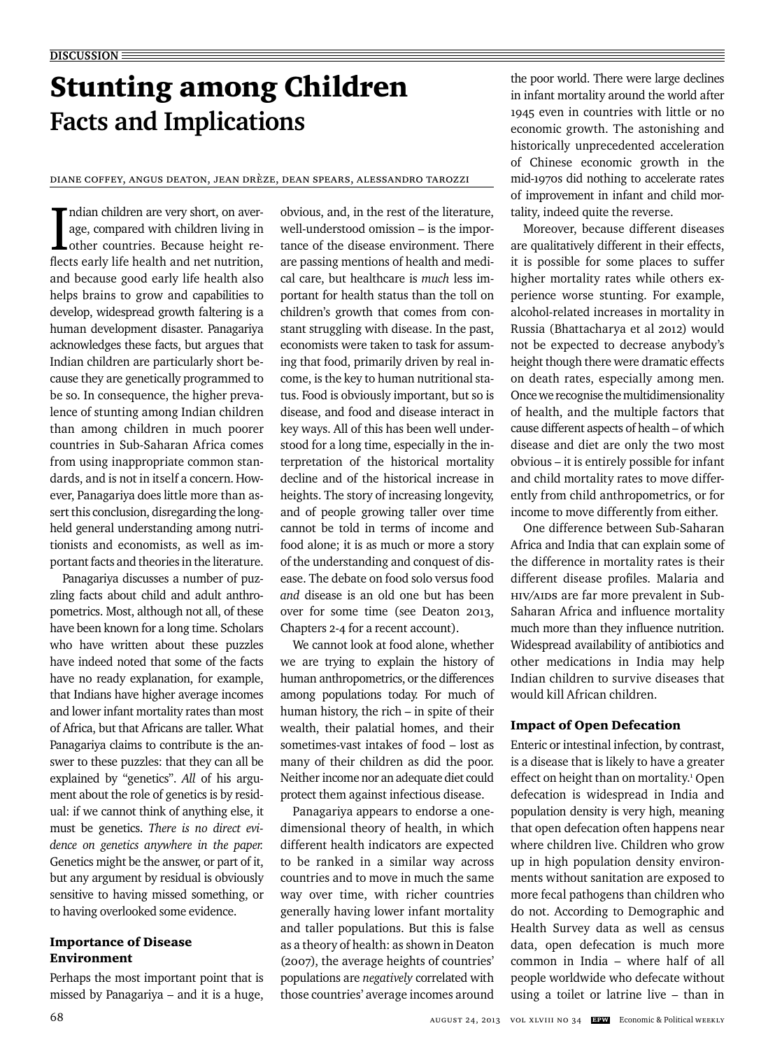# Stunting among Children **Facts and Implications**

Diane Coffey, Angus Deaton, Jean Drèze, Dean Spears, Alessandro Tarozzi

 $\begin{array}{l} \quad \text{Indian children are very short, on average, compared with children living in other countries. Because height reflects early life health and net nutrition,} \end{array}$ ndian children are very short, on average, compared with children living in other countries. Because height reand because good early life health also helps brains to grow and capabilities to develop, widespread growth faltering is a human development disaster. Panagariya acknowledges these facts, but argues that Indian children are particularly short because they are genetically programmed to be so. In consequence, the higher prevalence of stunting among Indian children than among children in much poorer countries in Sub-Saharan Africa comes from using inappropriate common standards, and is not in itself a concern. However, Panagariya does little more than assert this conclusion, disregarding the longheld general understanding among nutritionists and economists, as well as important facts and theories in the literature.

Panagariya discusses a number of puzzling facts about child and adult anthropometrics. Most, although not all, of these have been known for a long time. Scholars who have written about these puzzles have indeed noted that some of the facts have no ready explanation, for example, that Indians have higher average incomes and lower infant mortality rates than most of Africa, but that Africans are taller. What Panagariya claims to contribute is the answer to these puzzles: that they can all be explained by "genetics". *All* of his argument about the role of genetics is by residual: if we cannot think of anything else, it must be genetics. *There is no direct evidence on genetics anywhere in the paper.* Genetics might be the answer, or part of it, but any argument by residual is obviously sensitive to having missed something, or to having overlooked some evidence.

# Importance of Disease Environment

Perhaps the most important point that is missed by Panagariya – and it is a huge,

obvious, and, in the rest of the literature, well-understood omission – is the importance of the disease environment. There are passing mentions of health and medical care, but healthcare is *much* less important for health status than the toll on children's growth that comes from constant struggling with disease. In the past, economists were taken to task for assuming that food, primarily driven by real income, is the key to human nutritional status. Food is obviously important, but so is disease, and food and disease interact in key ways. All of this has been well understood for a long time, especially in the interpretation of the historical mortality decline and of the historical increase in heights. The story of increasing longevity, and of people growing taller over time cannot be told in terms of income and food alone; it is as much or more a story of the understanding and conquest of disease. The debate on food solo versus food *and* disease is an old one but has been over for some time (see Deaton 2013, Chapters 2-4 for a recent account).

We cannot look at food alone, whether we are trying to explain the history of human anthropometrics, or the differences among populations today. For much of human history, the rich – in spite of their wealth, their palatial homes, and their sometimes-vast intakes of food – lost as many of their children as did the poor. Neither income nor an adequate diet could protect them against infectious disease.

Panagariya appears to endorse a onedimensional theory of health, in which different health indicators are expected to be ranked in a similar way across countries and to move in much the same way over time, with richer countries generally having lower infant mortality and taller populations. But this is false as a theory of health: as shown in Deaton (2007), the average heights of countries' populations are *negatively* correlated with those countries' average incomes around

the poor world. There were large declines in infant mortality around the world after 1945 even in countries with little or no economic growth. The astonishing and historically unprecedented acceleration of Chinese economic growth in the mid-1970s did nothing to accelerate rates of improvement in infant and child mortality, indeed quite the reverse.

Moreover, because different diseases are qualitatively different in their effects, it is possible for some places to suffer higher mortality rates while others experience worse stunting. For example, alcohol-related increases in mortality in Russia (Bhattacharya et al 2012) would not be expected to decrease anybody's height though there were dramatic effects on death rates, especially among men. Once we recognise the multidimensionality of health, and the multiple factors that cause different aspects of health – of which disease and diet are only the two most obvious – it is entirely possible for infant and child mortality rates to move differently from child anthropometrics, or for income to move differently from either.

One difference between Sub-Saharan Africa and India that can explain some of the difference in mortality rates is their different disease profiles. Malaria and HIV/AIDS are far more prevalent in Sub-Saharan Africa and influence mortality much more than they influence nutrition. Widespread availability of antibiotics and other medications in India may help Indian children to survive diseases that would kill African children.

## Impact of Open Defecation

Enteric or intestinal infection, by contrast, is a disease that is likely to have a greater effect on height than on mortality.<sup>1</sup> Open defecation is widespread in India and population density is very high, meaning that open defecation often happens near where children live. Children who grow up in high population density environments without sanitation are exposed to more fecal pathogens than children who do not. According to Demographic and Health Survey data as well as census data, open defecation is much more common in India – where half of all people worldwide who defecate without using a toilet or latrine live – than in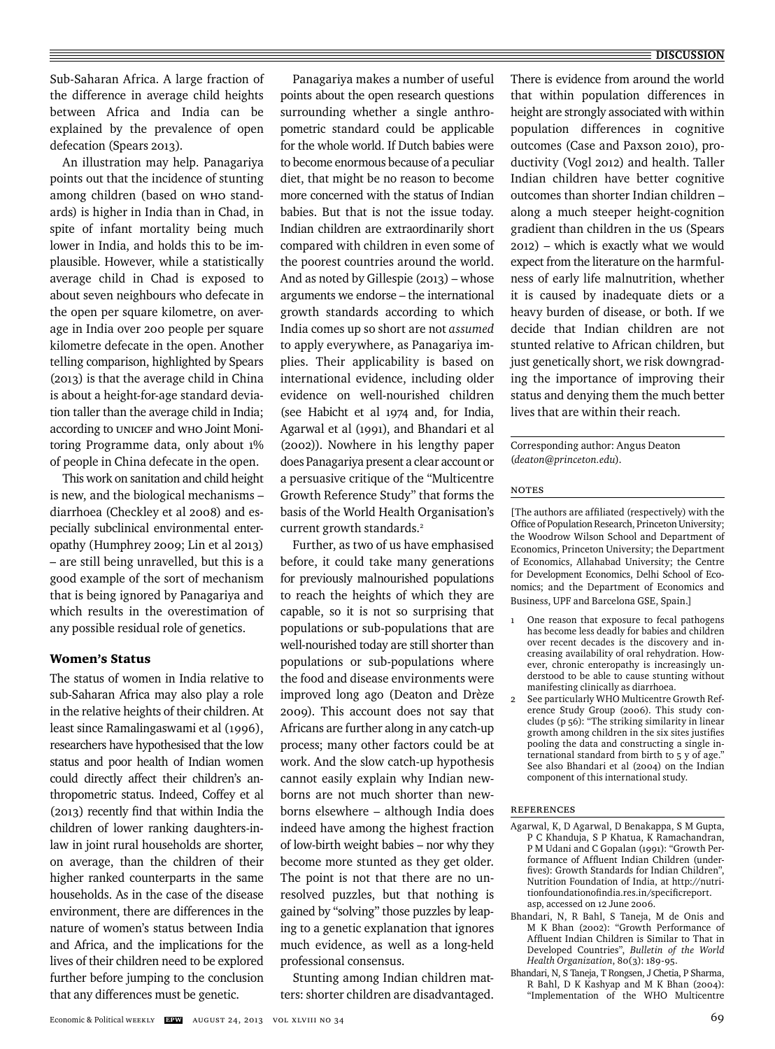#### **DISCUSSION**

Sub-Saharan Africa. A large fraction of the difference in average child heights between Africa and India can be explained by the prevalence of open defecation (Spears 2013).

An illustration may help. Panagariya points out that the incidence of stunting among children (based on WHO standards) is higher in India than in Chad, in spite of infant mortality being much lower in India, and holds this to be implausible. However, while a statistically average child in Chad is exposed to about seven neighbours who defecate in the open per square kilometre, on average in India over 200 people per square kilometre defecate in the open. Another telling comparison, highlighted by Spears (2013) is that the average child in China is about a height-for-age standard deviation taller than the average child in India; according to UNICEF and WHO Joint Monitoring Programme data, only about 1% of people in China defecate in the open.

This work on sanitation and child height is new, and the biological mechanisms – diarrhoea (Checkley et al 2008) and especially subclinical environmental enteropathy (Humphrey 2009; Lin et al 2013) – are still being unravelled, but this is a good example of the sort of mechanism that is being ignored by Panagariya and which results in the overestimation of any possible residual role of genetics.

#### Women's Status

The status of women in India relative to sub-Saharan Africa may also play a role in the relative heights of their children. At least since Ramalingaswami et al (1996), researchers have hypothesised that the low status and poor health of Indian women could directly affect their children's anthropometric status. Indeed, Coffey et al  $(2013)$  recently find that within India the children of lower ranking daughters-inlaw in joint rural households are shorter, on average, than the children of their higher ranked counterparts in the same households. As in the case of the disease environment, there are differences in the nature of women's status between India and Africa, and the implications for the lives of their children need to be explored further before jumping to the conclusion that any differences must be genetic.

Panagariya makes a number of useful points about the open research questions surrounding whether a single anthropometric standard could be applicable for the whole world. If Dutch babies were to become enormous because of a peculiar diet, that might be no reason to become more concerned with the status of Indian babies. But that is not the issue today. Indian children are extraordinarily short compared with children in even some of the poorest countries around the world. And as noted by Gillespie (2013) – whose arguments we endorse – the international growth standards according to which India comes up so short are not *assumed* to apply everywhere, as Panagariya implies. Their applicability is based on international evidence, including older evidence on well-nourished children (see Habicht et al 1974 and, for India, Agarwal et al (1991), and Bhandari et al (2002)). Nowhere in his lengthy paper does Panagariya present a clear account or a persuasive critique of the "Multicentre Growth Reference Study" that forms the basis of the World Health Organisation's current growth standards.<sup>2</sup>

Further, as two of us have emphasised before, it could take many generations for previously malnourished populations to reach the heights of which they are capable, so it is not so surprising that populations or sub-populations that are well-nourished today are still shorter than populations or sub-populations where the food and disease environments were improved long ago (Deaton and Drèze 2009). This account does not say that Africans are further along in any catch-up process; many other factors could be at work. And the slow catch-up hypothesis cannot easily explain why Indian newborns are not much shorter than newborns elsewhere – although India does indeed have among the highest fraction of low-birth weight babies – nor why they become more stunted as they get older. The point is not that there are no unresolved puzzles, but that nothing is gained by "solving" those puzzles by leaping to a genetic explanation that ignores much evidence, as well as a long-held professional consensus.

Stunting among Indian children matters: shorter children are disadvantaged. There is evidence from around the world that within population differences in height are strongly associated with within population differences in cognitive outcomes (Case and Paxson 2010), productivity (Vogl 2012) and health. Taller Indian children have better cognitive outcomes than shorter Indian children – along a much steeper height-cognition gradient than children in the US (Spears 2012) – which is exactly what we would expect from the literature on the harmfulness of early life malnutrition, whether it is caused by inadequate diets or a heavy burden of disease, or both. If we decide that Indian children are not stunted relative to African children, but just genetically short, we risk downgrading the importance of improving their status and denying them the much better lives that are within their reach.

Corresponding author: Angus Deaton (*deaton@princeton.edu*).

## Notes

[The authors are affiliated (respectively) with the Office of Population Research, Princeton University; the Woodrow Wilson School and Department of Economics, Princeton University; the Department of Economics, Allahabad University; the Centre for Development Economics, Delhi School of Economics; and the Department of Economics and Business, UPF and Barcelona GSE, Spain.]

- 1 One reason that exposure to fecal pathogens has become less deadly for babies and children over recent decades is the discovery and increasing availability of oral rehydration. However, chronic enteropathy is increasingly understood to be able to cause stunting without manifesting clinically as diarrhoea.
- See particularly WHO Multicentre Growth Reference Study Group (2006). This study concludes (p 56): "The striking similarity in linear growth among children in the six sites justifies pooling the data and constructing a single international standard from birth to 5 y of age." See also Bhandari et al (2004) on the Indian component of this international study.

### References

- Agarwal, K, D Agarwal, D Benakappa, S M Gupta, P C Khanduja, S P Khatua, K Ramachandran, P M Udani and C Gopalan (1991): "Growth Performance of Affluent Indian Children (underfives): Growth Standards for Indian Children", Nutrition Foundation of India, at http://nutritionfoundationofindia.res.in/specificreport. asp, accessed on 12 June 2006.
- Bhandari, N, R Bahl, S Taneja, M de Onis and M K Bhan (2002): "Growth Performance of Affluent Indian Children is Similar to That in Developed Countries", *Bulletin of the World Health Organization*, 80(3): 189-95.
- Bhandari, N, S Taneja, T Rongsen, J Chetia, P Sharma, R Bahl, D K Kashyap and M K Bhan (2004): "Implementation of the WHO Multicentre